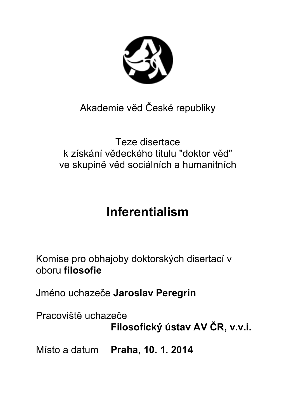

# Akademie věd České republiky

# Teze disertace k získání vědeckého titulu "doktor věd" ve skupině věd sociálních a humanitních

# **Inferentialism**

Komise pro obhajoby doktorských disertací v oboru **filosofie**

Jméno uchazeče **Jaroslav Peregrin**

Pracoviště uchazeče **Filosofický ústav AV ČR, v.v.i.**

Místo a datum **Praha, 10. 1. 2014**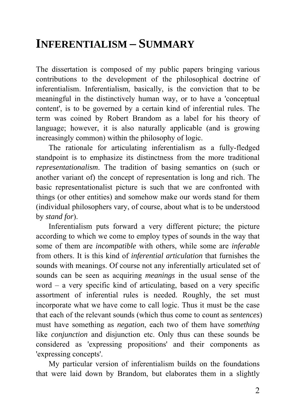# **INFERENTIALISM – SUMMARY**

The dissertation is composed of my public papers bringing various contributions to the development of the philosophical doctrine of inferentialism. Inferentialism, basically, is the conviction that to be meaningful in the distinctively human way, or to have a 'conceptual content', is to be governed by a certain kind of inferential rules. The term was coined by Robert Brandom as a label for his theory of language; however, it is also naturally applicable (and is growing increasingly common) within the philosophy of logic.

 The rationale for articulating inferentialism as a fully-fledged standpoint is to emphasize its distinctness from the more traditional *representationalism*. The tradition of basing semantics on (such or another variant of) the concept of representation is long and rich. The basic representationalist picture is such that we are confronted with things (or other entities) and somehow make our words stand for them (individual philosophers vary, of course, about what is to be understood by *stand for*).

 Inferentialism puts forward a very different picture; the picture according to which we come to employ types of sounds in the way that some of them are *incompatible* with others, while some are *inferable*  from others. It is this kind of *inferential articulation* that furnishes the sounds with meanings. Of course not any inferentially articulated set of sounds can be seen as acquiring *meanings* in the usual sense of the word – a very specific kind of articulating, based on a very specific assortment of inferential rules is needed. Roughly, the set must incorporate what we have come to call logic. Thus it must be the case that each of the relevant sounds (which thus come to count as *sentences*) must have something as *negation*, each two of them have *something* like *conjunction* and disjunction etc. Only thus can these sounds be considered as 'expressing propositions' and their components as 'expressing concepts'.

 My particular version of inferentialism builds on the foundations that were laid down by Brandom, but elaborates them in a slightly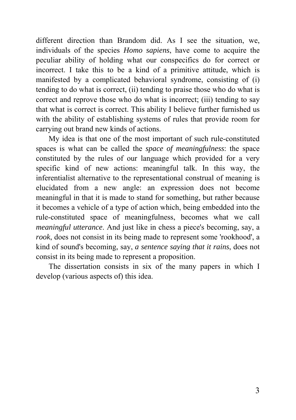different direction than Brandom did. As I see the situation, we, individuals of the species *Homo sapiens*, have come to acquire the peculiar ability of holding what our conspecifics do for correct or incorrect. I take this to be a kind of a primitive attitude, which is manifested by a complicated behavioral syndrome, consisting of (i) tending to do what is correct, (ii) tending to praise those who do what is correct and reprove those who do what is incorrect; (iii) tending to say that what is correct is correct. This ability I believe further furnished us with the ability of establishing systems of rules that provide room for carrying out brand new kinds of actions.

 My idea is that one of the most important of such rule-constituted spaces is what can be called the *space of meaningfulness*: the space constituted by the rules of our language which provided for a very specific kind of new actions: meaningful talk. In this way, the inferentialist alternative to the representational construal of meaning is elucidated from a new angle: an expression does not become meaningful in that it is made to stand for something, but rather because it becomes a vehicle of a type of action which, being embedded into the rule-constituted space of meaningfulness, becomes what we call *meaningful utterance*. And just like in chess a piece's becoming, say, a *rook*, does not consist in its being made to represent some 'rookhood', a kind of sound's becoming, say, *a sentence saying that it rains*, does not consist in its being made to represent a proposition.

 The dissertation consists in six of the many papers in which I develop (various aspects of) this idea.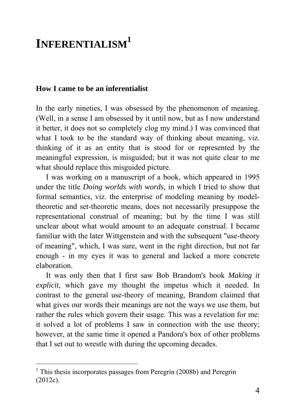# **INFERENTIALISM1**

#### **How I came to be an inferentialist**

In the early nineties, I was obsessed by the phenomenon of meaning. (Well, in a sense I am obsessed by it until now, but as I now understand it better, it does not so completely clog my mind.) I was convinced that what I took to be the standard way of thinking about meaning, viz. thinking of it as an entity that is stood for or represented by the meaningful expression, is misguided; but it was not quite clear to me what should replace this misguided picture.

 I was working on a manuscript of a book, which appeared in 1995 under the title *Doing worlds with words*, in which I tried to show that formal semantics, viz. the enterprise of modeling meaning by modeltheoretic and set-theoretic means, does not necessarily presuppose the representational construal of meaning; but by the time I was still unclear about what would amount to an adequate construal. I became familiar with the later Wittgenstein and with the subsequent "use-theory of meaning", which, I was sure, went in the right direction, but not far enough - in my eyes it was to general and lacked a more concrete elaboration.

 It was only then that I first saw Bob Brandom's book *Making it explicit*, which gave my thought the impetus which it needed. In contrast to the general use-theory of meaning, Brandom claimed that what gives our words their meanings are not the ways we use them, but rather the rules which govern their usage. This was a revelation for me: it solved a lot of problems I saw in connection with the use theory; however, at the same time it opened a Pandora's box of other problems that I set out to wrestle with during the upcoming decades.

<sup>&</sup>lt;sup>1</sup> This thesis incorporates passages from Peregrin (2008b) and Peregrin (2012c).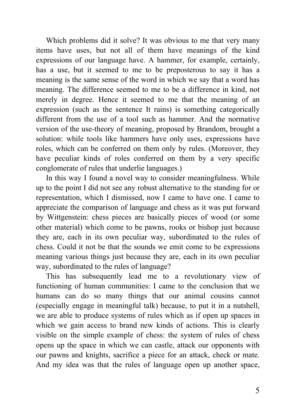Which problems did it solve? It was obvious to me that very many items have uses, but not all of them have meanings of the kind expressions of our language have. A hammer, for example, certainly, has a use, but it seemed to me to be preposterous to say it has a meaning is the same sense of the word in which we say that a word has meaning. The difference seemed to me to be a difference in kind, not merely in degree. Hence it seemed to me that the meaning of an expression (such as the sentence It rains) is something categorically different from the use of a tool such as hammer. And the normative version of the use-theory of meaning, proposed by Brandom, brought a solution: while tools like hammers have only uses, expressions have roles, which can be conferred on them only by rules. (Moreover, they have peculiar kinds of roles conferred on them by a very specific conglomerate of rules that underlie languages.)

 In this way I found a novel way to consider meaningfulness. While up to the point I did not see any robust alternative to the standing for or representation, which I dismissed, now I came to have one. I came to appreciate the comparison of language and chess as it was put forward by Wittgenstein: chess pieces are basically pieces of wood (or some other material) which come to be pawns, rooks or bishop just because they are, each in its own peculiar way, subordinated to the rules of chess. Could it not be that the sounds we emit come to be expressions meaning various things just because they are, each in its own peculiar way, subordinated to the rules of language?

 This has subsequently lead me to a revolutionary view of functioning of human communities: I came to the conclusion that we humans can do so many things that our animal cousins cannot (especially engage in meaningful talk) because, to put it in a nutshell, we are able to produce systems of rules which as if open up spaces in which we gain access to brand new kinds of actions. This is clearly visible on the simple example of chess: the system of rules of chess opens up the space in which we can castle, attack our opponents with our pawns and knights, sacrifice a piece for an attack, check or mate. And my idea was that the rules of language open up another space,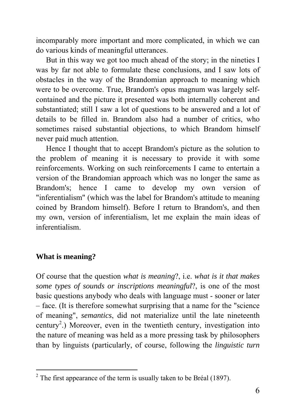incomparably more important and more complicated, in which we can do various kinds of meaningful utterances.

 But in this way we got too much ahead of the story; in the nineties I was by far not able to formulate these conclusions, and I saw lots of obstacles in the way of the Brandomian approach to meaning which were to be overcome. True, Brandom's opus magnum was largely selfcontained and the picture it presented was both internally coherent and substantiated; still I saw a lot of questions to be answered and a lot of details to be filled in. Brandom also had a number of critics, who sometimes raised substantial objections, to which Brandom himself never paid much attention.

 Hence I thought that to accept Brandom's picture as the solution to the problem of meaning it is necessary to provide it with some reinforcements. Working on such reinforcements I came to entertain a version of the Brandomian approach which was no longer the same as Brandom's; hence I came to develop my own version of "inferentialism" (which was the label for Brandom's attitude to meaning coined by Brandom himself). Before I return to Brandom's, and then my own, version of inferentialism, let me explain the main ideas of inferentialism.

### **What is meaning?**

Of course that the question *what is meaning*?, i.e. *what is it that makes some types of sounds or inscriptions meaningful*?, is one of the most basic questions anybody who deals with language must - sooner or later – face. (It is therefore somewhat surprising that a name for the "science of meaning", *semantics*, did not materialize until the late nineteenth century<sup>2</sup>.) Moreover, even in the twentieth century, investigation into the nature of meaning was held as a more pressing task by philosophers than by linguists (particularly, of course, following the *linguistic turn*

<sup>&</sup>lt;sup>2</sup> The first appearance of the term is usually taken to be Bréal (1897).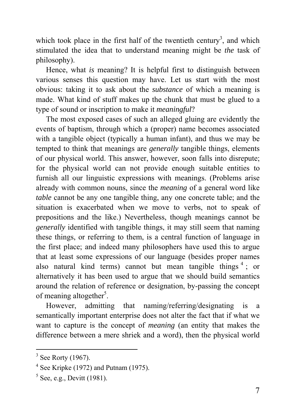which took place in the first half of the twentieth century<sup>3</sup>, and which stimulated the idea that to understand meaning might be *the* task of philosophy).

 Hence, what *is* meaning? It is helpful first to distinguish between various senses this question may have. Let us start with the most obvious: taking it to ask about the *substance* of which a meaning is made. What kind of stuff makes up the chunk that must be glued to a type of sound or inscription to make it *meaningful*?

 The most exposed cases of such an alleged gluing are evidently the events of baptism, through which a (proper) name becomes associated with a tangible object (typically a human infant), and thus we may be tempted to think that meanings are *generally* tangible things, elements of our physical world. This answer, however, soon falls into disrepute; for the physical world can not provide enough suitable entities to furnish all our linguistic expressions with meanings. (Problems arise already with common nouns, since the *meaning* of a general word like *table* cannot be any one tangible thing, any one concrete table; and the situation is exacerbated when we move to verbs, not to speak of prepositions and the like.) Nevertheless, though meanings cannot be *generally* identified with tangible things, it may still seem that naming these things, or referring to them, is a central function of language in the first place; and indeed many philosophers have used this to argue that at least some expressions of our language (besides proper names also natural kind terms) cannot but mean tangible things  $4$ ; or alternatively it has been used to argue that we should build semantics around the relation of reference or designation, by-passing the concept of meaning altogether<sup>5</sup>.

 However, admitting that naming/referring/designating is a semantically important enterprise does not alter the fact that if what we want to capture is the concept of *meaning* (an entity that makes the difference between a mere shriek and a word), then the physical world

 $3$  See Rorty (1967).

 $4$  See Kripke (1972) and Putnam (1975).

 $<sup>5</sup>$  See, e.g., Devitt (1981).</sup>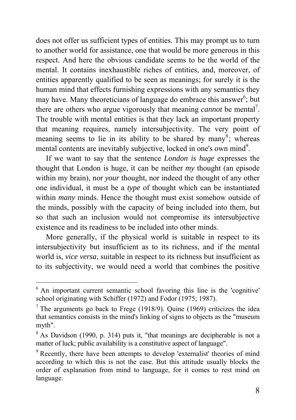does not offer us sufficient types of entities. This may prompt us to turn to another world for assistance, one that would be more generous in this respect. And here the obvious candidate seems to be the world of the mental. It contains inexhaustible riches of entities, and, moreover, of entities apparently qualified to be seen as meanings; for surely it is the human mind that effects furnishing expressions with any semantics they may have. Many theoreticians of language do embrace this answer<sup>6</sup>; but there are others who argue vigorously that meaning *cannot* be mental<sup>7</sup>. The trouble with mental entities is that they lack an important property that meaning requires, namely intersubjectivity. The very point of meaning seems to lie in its ability to be shared by many<sup>8</sup>; whereas mental contents are inevitably subjective, locked in one's own mind<sup>9</sup>.

 If we want to say that the sentence *London is huge* expresses the thought that London is huge, it can be neither *my* thought (an episode within my brain), nor *your* thought, nor indeed the thought of any other one individual, it must be a *type* of thought which can be instantiated within *many* minds. Hence the thought must exist somehow outside of the minds, possibly with the capacity of being included into them, but so that such an inclusion would not compromise its intersubjective existence and its readiness to be included into other minds.

 More generally, if the physical world is suitable in respect to its intersubjectivity but insufficient as to its richness, and if the mental world is, *vice versa*, suitable in respect to its richness but insufficient as to its subjectivity, we would need a world that combines the positive

<sup>&</sup>lt;sup>6</sup> An important current semantic school favoring this line is the 'cognitive' school originating with Schiffer (1972) and Fodor (1975; 1987).

<sup>&</sup>lt;sup>7</sup> The arguments go back to Frege (1918/9). Quine (1969) criticizes the idea that semantics consists in the mind's linking of signs to objects as the "museum myth".

 $8$  As Davidson (1990, p. 314) puts it, "that meanings are decipherable is not a matter of luck; public availability is a constitutive aspect of language".

<sup>&</sup>lt;sup>9</sup> Recently, there have been attempts to develop 'externalist' theories of mind according to which this is not the case. But this attitude usually blocks the order of explanation from mind to language, for it comes to rest mind on language.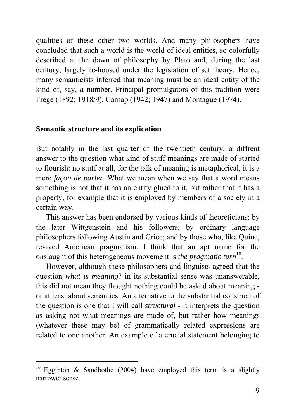qualities of these other two worlds. And many philosophers have concluded that such a world is the world of ideal entities, so colorfully described at the dawn of philosophy by Plato and, during the last century, largely re-housed under the legislation of set theory. Hence, many semanticists inferred that meaning must be an ideal entity of the kind of, say, a number. Principal promulgators of this tradition were Frege (1892; 1918/9), Carnap (1942; 1947) and Montague (1974).

#### **Semantic structure and its explication**

 $\overline{a}$ 

But notably in the last quarter of the twentieth century, a diffrent answer to the question what kind of stuff meanings are made of started to flourish: no stuff at all, for the talk of meaning is metaphorical, it is a mere *façon de parler*. What we mean when we say that a word means something is not that it has an entity glued to it, but rather that it has a property, for example that it is employed by members of a society in a certain way.

 This answer has been endorsed by various kinds of theoreticians: by the later Wittgenstein and his followers; by ordinary language philosophers following Austin and Grice; and by those who, like Quine, revived American pragmatism. I think that an apt name for the onslaught of this heterogeneous movement is *the pragmatic turn*<sup>10</sup>.

 However, although these philosophers and linguists agreed that the question *what is meaning*? in its substantial sense was unanswerable, this did not mean they thought nothing could be asked about meaning or at least about semantics. An alternative to the substantial construal of the question is one that I will call *structural* - it interprets the question as asking not what meanings are made of, but rather how meanings (whatever these may be) of grammatically related expressions are related to one another. An example of a crucial statement belonging to

<sup>&</sup>lt;sup>10</sup> Egginton & Sandbothe (2004) have employed this term is a slightly narrower sense.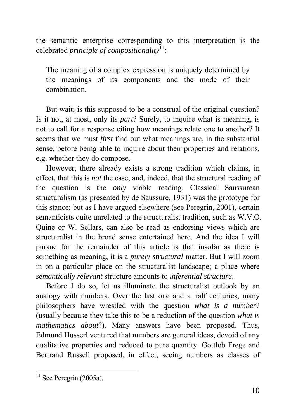the semantic enterprise corresponding to this interpretation is the celebrated *principle of compositionality*11:

 The meaning of a complex expression is uniquely determined by the meanings of its components and the mode of their combination.

 But wait; is this supposed to be a construal of the original question? Is it not, at most, only its *part*? Surely, to inquire what is meaning, is not to call for a response citing how meanings relate one to another? It seems that we must *first* find out what meanings are, in the substantial sense, before being able to inquire about their properties and relations, e.g. whether they do compose.

 However, there already exists a strong tradition which claims, in effect, that this is *not* the case, and, indeed, that the structural reading of the question is the *only* viable reading. Classical Saussurean structuralism (as presented by de Saussure, 1931) was the prototype for this stance; but as I have argued elsewhere (see Peregrin, 2001), certain semanticists quite unrelated to the structuralist tradition, such as W.V.O. Quine or W. Sellars, can also be read as endorsing views which are structuralist in the broad sense entertained here. And the idea I will pursue for the remainder of this article is that insofar as there is something as meaning, it is a *purely structural* matter. But I will zoom in on a particular place on the structuralist landscape; a place where *semantically relevant* structure amounts to *inferential structure*.

 Before I do so, let us illuminate the structuralist outlook by an analogy with numbers. Over the last one and a half centuries, many philosophers have wrestled with the question *what is a number*? (usually because they take this to be a reduction of the question *what is mathematics about*?). Many answers have been proposed. Thus, Edmund Husserl ventured that numbers are general ideas, devoid of any qualitative properties and reduced to pure quantity. Gottlob Frege and Bertrand Russell proposed, in effect, seeing numbers as classes of

 $11$  See Peregrin (2005a).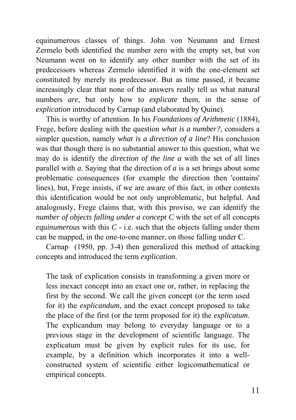equinumerous classes of things. John von Neumann and Ernest Zermelo both identified the number zero with the empty set, but von Neumann went on to identify any other number with the set of its predecessors whereas Zermelo identified it with the one-element set constituted by merely its predecessor. But as time passed, it became increasingly clear that none of the answers really tell us what natural numbers *are*, but only how to *explicate* them, in the sense of *explication* introduced by Carnap (and elaborated by Quine).

 This is worthy of attention. In his *Foundations of Arithmetic* (1884), Frege, before dealing with the question *what is a number?*, considers a simpler question, namely *what is a direction of a line*? His conclusion was that though there is no substantial answer to this question, what we may do is identify the *direction of the line a* with the set of all lines parallel with *a*. Saying that the direction of *a* is a set brings about some problematic consequences (for example the direction then 'contains' lines), but, Frege insists, if we are aware of this fact, in other contexts this identification would be not only unproblematic, but helpful. And analogously, Frege claims that, with this proviso, we can identify the *number of objects falling under a concept C* with the set of all concepts *equinumerous* with this *C* - i.e. such that the objects falling under them can be mapped, in the one-to-one manner, on those falling under C.

 Carnap (1950, pp. 3-4) then generalized this method of attacking concepts and introduced the term *explication*.

The task of explication consists in transforming a given more or less inexact concept into an exact one or, rather, in replacing the first by the second. We call the given concept (or the term used for it) the *explicandum*, and the exact concept proposed to take the place of the first (or the term proposed for it) the *explicatum*. The explicandum may belong to everyday language or to a previous stage in the development of scientific language. The explicatum must be given by explicit rules for its use, for example, by a definition which incorporates it into a wellconstructed system of scientific either logicomathematical or empirical concepts.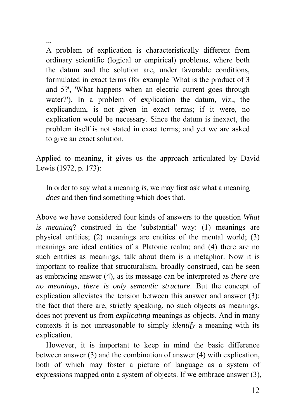... A problem of explication is characteristically different from ordinary scientific (logical or empirical) problems, where both the datum and the solution are, under favorable conditions, formulated in exact terms (for example 'What is the product of 3 and 5?', 'What happens when an electric current goes through water?'). In a problem of explication the datum, viz., the explicandum, is not given in exact terms; if it were, no explication would be necessary. Since the datum is inexact, the problem itself is not stated in exact terms; and yet we are asked to give an exact solution.

Applied to meaning, it gives us the approach articulated by David Lewis (1972, p. 173):

In order to say what a meaning *is*, we may first ask what a meaning *does* and then find something which does that.

Above we have considered four kinds of answers to the question *What is meaning*? construed in the 'substantial' way: (1) meanings are physical entities; (2) meanings are entities of the mental world; (3) meanings are ideal entities of a Platonic realm; and (4) there are no such entities as meanings, talk about them is a metaphor. Now it is important to realize that structuralism, broadly construed, can be seen as embracing answer (4), as its message can be interpreted as *there are no meanings, there is only semantic structure*. But the concept of explication alleviates the tension between this answer and answer (3); the fact that there are, strictly speaking, no such objects as meanings, does not prevent us from *explicating* meanings as objects. And in many contexts it is not unreasonable to simply *identify* a meaning with its explication.

 However, it is important to keep in mind the basic difference between answer (3) and the combination of answer (4) with explication, both of which may foster a picture of language as a system of expressions mapped onto a system of objects. If we embrace answer (3),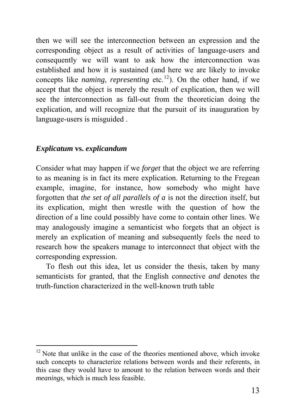then we will see the interconnection between an expression and the corresponding object as a result of activities of language-users and consequently we will want to ask how the interconnection was established and how it is sustained (and here we are likely to invoke concepts like *naming*, *representing* etc.<sup>12</sup>). On the other hand, if we accept that the object is merely the result of explication, then we will see the interconnection as fall-out from the theoretician doing the explication, and will recognize that the pursuit of its inauguration by language-users is misguided .

#### *Explicatum* **vs.** *explicandum*

 $\overline{a}$ 

Consider what may happen if we *forget* that the object we are referring to as meaning is in fact its mere explication. Returning to the Fregean example, imagine, for instance, how somebody who might have forgotten that *the set of all parallels of a* is not the direction itself, but its explication, might then wrestle with the question of how the direction of a line could possibly have come to contain other lines. We may analogously imagine a semanticist who forgets that an object is merely an explication of meaning and subsequently feels the need to research how the speakers manage to interconnect that object with the corresponding expression.

 To flesh out this idea, let us consider the thesis, taken by many semanticists for granted, that the English connective *and* denotes the truth-function characterized in the well-known truth table

 $12$  Note that unlike in the case of the theories mentioned above, which invoke such concepts to characterize relations between words and their referents, in this case they would have to amount to the relation between words and their *meanings*, which is much less feasible.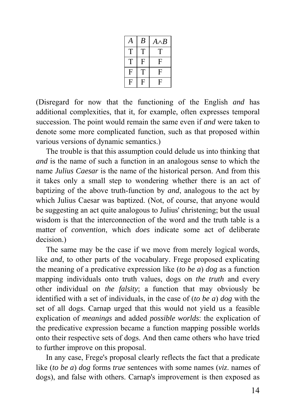| Α | B | $A \wedge B$ |
|---|---|--------------|
|   |   | T            |
| T | F | F            |
| F | T | F            |
| ę | Ĥ | F            |

(Disregard for now that the functioning of the English *and* has additional complexities, that it, for example, often expresses temporal succession. The point would remain the same even if *and* were taken to denote some more complicated function, such as that proposed within various versions of dynamic semantics.)

 The trouble is that this assumption could delude us into thinking that *and* is the name of such a function in an analogous sense to which the name *Julius Caesar* is the name of the historical person. And from this it takes only a small step to wondering whether there is an act of baptizing of the above truth-function by *and*, analogous to the act by which Julius Caesar was baptized. (Not, of course, that anyone would be suggesting an act quite analogous to Julius' christening; but the usual wisdom is that the interconnection of the word and the truth table is a matter of *convention*, which *does* indicate some act of deliberate decision.)

 The same may be the case if we move from merely logical words, like *and*, to other parts of the vocabulary. Frege proposed explicating the meaning of a predicative expression like (*to be a*) *dog* as a function mapping individuals onto truth values, dogs on *the truth* and every other individual on *the falsity*; a function that may obviously be identified with a set of individuals, in the case of (*to be a*) *dog* with the set of all dogs. Carnap urged that this would not yield us a feasible explication of *meanings* and added *possible worlds*: the explication of the predicative expression became a function mapping possible worlds onto their respective sets of dogs. And then came others who have tried to further improve on this proposal.

 In any case, Frege's proposal clearly reflects the fact that a predicate like (*to be a*) *dog* forms *true* sentences with some names (*viz*. names of dogs), and false with others. Carnap's improvement is then exposed as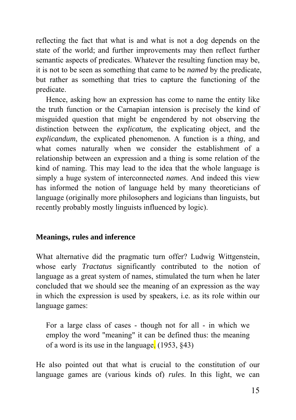reflecting the fact that what is and what is not a dog depends on the state of the world; and further improvements may then reflect further semantic aspects of predicates. Whatever the resulting function may be, it is not to be seen as something that came to be *named* by the predicate, but rather as something that tries to capture the functioning of the predicate.

 Hence, asking how an expression has come to name the entity like the truth function or the Carnapian intension is precisely the kind of misguided question that might be engendered by not observing the distinction between the *explicatum*, the explicating object, and the *explicandum*, the explicated phenomenon. A function is a *thing*, and what comes naturally when we consider the establishment of a relationship between an expression and a thing is some relation of the kind of naming. This may lead to the idea that the whole language is simply a huge system of interconnected *names*. And indeed this view has informed the notion of language held by many theoreticians of language (originally more philosophers and logicians than linguists, but recently probably mostly linguists influenced by logic).

# **Meanings, rules and inference**

What alternative did the pragmatic turn offer? Ludwig Wittgenstein, whose early *Tractatus* significantly contributed to the notion of language as a great system of names, stimulated the turn when he later concluded that we should see the meaning of an expression as the way in which the expression is used by speakers, i.e. as its role within our language games:

For a large class of cases - though not for all - in which we employ the word "meaning" it can be defined thus: the meaning of a word is its use in the language.  $(1953, §43)$ 

He also pointed out that what is crucial to the constitution of our language games are (various kinds of) *rules*. In this light, we can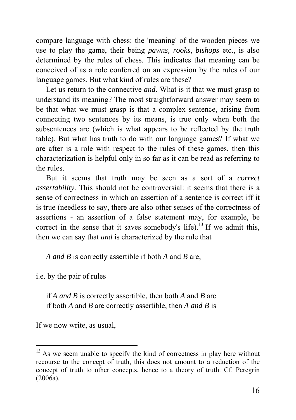compare language with chess: the 'meaning' of the wooden pieces we use to play the game, their being *pawns, rooks*, *bishops* etc., is also determined by the rules of chess. This indicates that meaning can be conceived of as a role conferred on an expression by the rules of our language games. But what kind of rules are these?

 Let us return to the connective *and*. What is it that we must grasp to understand its meaning? The most straightforward answer may seem to be that what we must grasp is that a complex sentence, arising from connecting two sentences by its means, is true only when both the subsentences are (which is what appears to be reflected by the truth table). But what has truth to do with our language games? If what we are after is a role with respect to the rules of these games, then this characterization is helpful only in so far as it can be read as referring to the rules.

 But it seems that truth may be seen as a sort of a *correct assertability*. This should not be controversial: it seems that there is a sense of correctness in which an assertion of a sentence is correct iff it is true (needless to say, there are also other senses of the correctness of assertions - an assertion of a false statement may, for example, be correct in the sense that it saves somebody's life).<sup>13</sup> If we admit this, then we can say that *and* is characterized by the rule that

*A and B* is correctly assertible if both *A* and *B* are,

i.e. by the pair of rules

 if *A and B* is correctly assertible, then both *A* and *B* are if both *A* and *B* are correctly assertible, then *A and B* is

If we now write, as usual,

 $13$  As we seem unable to specify the kind of correctness in play here without recourse to the concept of truth, this does not amount to a reduction of the concept of truth to other concepts, hence to a theory of truth. Cf. Peregrin (2006a).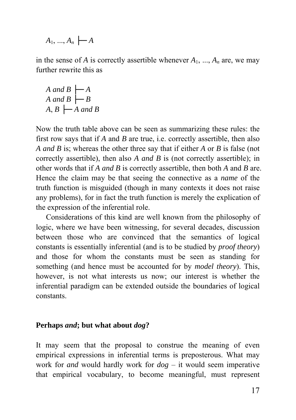$A_1, ..., A_n \leftarrow A$ 

in the sense of *A* is correctly assertible whenever  $A_1$ , ...,  $A_n$  are, we may further rewrite this as

$$
\begin{array}{c}\nA \text{ and } B \mid -A \\
A \text{ and } B \mid -B \\
A, B \mid -A \text{ and } B\n\end{array}
$$

Now the truth table above can be seen as summarizing these rules: the first row says that if *A* and *B* are true, i.e. correctly assertible, then also *A and B* is; whereas the other three say that if either *A* or *B* is false (not correctly assertible), then also *A and B* is (not correctly assertible); in other words that if *A and B* is correctly assertible, then both *A* and *B* are. Hence the claim may be that seeing the connective as a *name* of the truth function is misguided (though in many contexts it does not raise any problems), for in fact the truth function is merely the explication of the expression of the inferential role.

 Considerations of this kind are well known from the philosophy of logic, where we have been witnessing, for several decades, discussion between those who are convinced that the semantics of logical constants is essentially inferential (and is to be studied by *proof theory*) and those for whom the constants must be seen as standing for something (and hence must be accounted for by *model theory*). This, however, is not what interests us now; our interest is whether the inferential paradigm can be extended outside the boundaries of logical constants.

#### **Perhaps** *and***; but what about** *dog***?**

It may seem that the proposal to construe the meaning of even empirical expressions in inferential terms is preposterous. What may work for *and* would hardly work for *dog* – it would seem imperative that empirical vocabulary, to become meaningful, must represent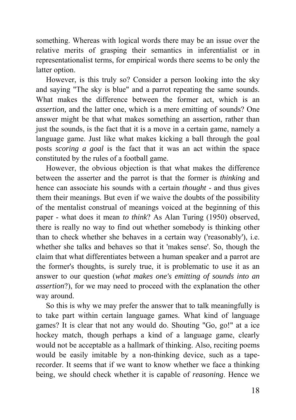something. Whereas with logical words there may be an issue over the relative merits of grasping their semantics in inferentialist or in representationalist terms, for empirical words there seems to be only the latter option.

 However, is this truly so? Consider a person looking into the sky and saying "The sky is blue" and a parrot repeating the same sounds. What makes the difference between the former act, which is an *assertion,* and the latter one, which is a mere emitting of sounds? One answer might be that what makes something an assertion, rather than just the sounds, is the fact that it is a move in a certain game, namely a language game. Just like what makes kicking a ball through the goal posts *scoring a goal* is the fact that it was an act within the space constituted by the rules of a football game.

 However, the obvious objection is that what makes the difference between the asserter and the parrot is that the former is *thinking* and hence can associate his sounds with a certain *thought* - and thus gives them their meanings. But even if we waive the doubts of the possibility of the mentalist construal of meanings voiced at the beginning of this paper - what does it mean *to think*? As Alan Turing (1950) observed, there is really no way to find out whether somebody is thinking other than to check whether she behaves in a certain way ('reasonably'), i.e. whether she talks and behaves so that it 'makes sense'. So, though the claim that what differentiates between a human speaker and a parrot are the former's thoughts, is surely true, it is problematic to use it as an answer to our question (*what makes one's emitting of sounds into an assertion*?), for we may need to proceed with the explanation the other way around.

 So this is why we may prefer the answer that to talk meaningfully is to take part within certain language games. What kind of language games? It is clear that not any would do. Shouting "Go, go!" at a ice hockey match, though perhaps a kind of a language game, clearly would not be acceptable as a hallmark of thinking. Also, reciting poems would be easily imitable by a non-thinking device, such as a taperecorder. It seems that if we want to know whether we face a thinking being, we should check whether it is capable of *reasoning*. Hence we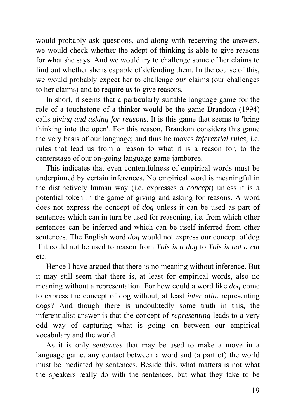would probably ask questions, and along with receiving the answers, we would check whether the adept of thinking is able to give reasons for what she says. And we would try to challenge some of her claims to find out whether she is capable of defending them. In the course of this, we would probably expect her to challenge *our* claims (our challenges to her claims) and to require *us* to give reasons.

 In short, it seems that a particularly suitable language game for the role of a touchstone of a thinker would be the game Brandom (1994) calls *giving and asking for reasons*. It is this game that seems to 'bring thinking into the open'. For this reason, Brandom considers this game the very basis of our language; and thus he moves *inferential rules*, i.e. rules that lead us from a reason to what it is a reason for, to the centerstage of our on-going language game jamboree.

 This indicates that even contentfulness of empirical words must be underpinned by certain inferences. No empirical word is meaningful in the distinctively human way (i.e. expresses a *concept*) unless it is a potential token in the game of giving and asking for reasons. A word does not express the concept of *dog* unless it can be used as part of sentences which can in turn be used for reasoning, i.e. from which other sentences can be inferred and which can be itself inferred from other sentences. The English word *dog* would not express our concept of dog if it could not be used to reason from *This is a dog* to *This is not a cat* etc.

 Hence I have argued that there is no meaning without inference. But it may still seem that there is, at least for empirical words, also no meaning without a representation. For how could a word like *dog* come to express the concept of dog without, at least *inter alia*, representing dogs? And though there is undoubtedly some truth in this, the inferentialist answer is that the concept of *representing* leads to a very odd way of capturing what is going on between our empirical vocabulary and the world.

 As it is only *sentences* that may be used to make a move in a language game, any contact between a word and (a part of) the world must be mediated by sentences. Beside this, what matters is not what the speakers really do with the sentences, but what they take to be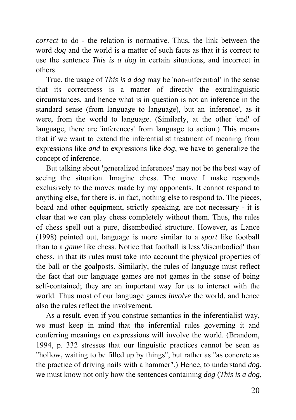*correct* to do - the relation is normative. Thus, the link between the word *dog* and the world is a matter of such facts as that it is correct to use the sentence *This is a dog* in certain situations, and incorrect in others.

 True, the usage of *This is a dog* may be 'non-inferential' in the sense that its correctness is a matter of directly the extralinguistic circumstances, and hence what is in question is not an inference in the standard sense (from language to language), but an 'inference', as it were, from the world to language. (Similarly, at the other 'end' of language, there are 'inferences' from language to action.) This means that if we want to extend the inferentialist treatment of meaning from expressions like *and* to expressions like *dog*, we have to generalize the concept of inference.

 But talking about 'generalized inferences' may not be the best way of seeing the situation. Imagine chess. The move I make responds exclusively to the moves made by my opponents. It cannot respond to anything else, for there is, in fact, nothing else to respond to. The pieces, board and other equipment, strictly speaking, are not necessary - it is clear that we can play chess completely without them. Thus, the rules of chess spell out a pure, disembodied structure. However, as Lance (1998) pointed out, language is more similar to a *sport* like football than to a *game* like chess. Notice that football is less 'disembodied' than chess, in that its rules must take into account the physical properties of the ball or the goalposts. Similarly, the rules of language must reflect the fact that our language games are not games in the sense of being self-contained; they are an important way for us to interact with the world. Thus most of our language games *involve* the world, and hence also the rules reflect the involvement.

 As a result, even if you construe semantics in the inferentialist way, we must keep in mind that the inferential rules governing it and conferring meanings on expressions will involve the world. (Brandom, 1994, p. 332 stresses that our linguistic practices cannot be seen as "hollow, waiting to be filled up by things", but rather as "as concrete as the practice of driving nails with a hammer".) Hence, to understand *dog*, we must know not only how the sentences containing *dog* (*This is a dog*,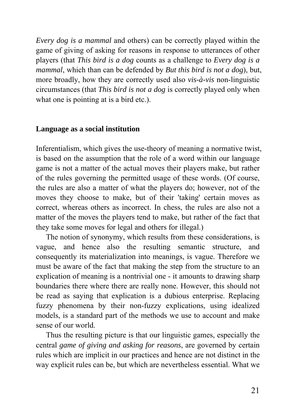*Every dog is a mammal* and others) can be correctly played within the game of giving of asking for reasons in response to utterances of other players (that *This bird is a dog* counts as a challenge to *Every dog is a mammal*, which than can be defended by *But this bird is not a dog*), but, more broadly, how they are correctly used also *vis-à-vis* non-linguistic circumstances (that *This bird is not a dog* is correctly played only when what one is pointing at is a bird etc.).

### **Language as a social institution**

Inferentialism, which gives the use-theory of meaning a normative twist, is based on the assumption that the role of a word within our language game is not a matter of the actual moves their players make, but rather of the rules governing the permitted usage of these words. (Of course, the rules are also a matter of what the players do; however, not of the moves they choose to make, but of their 'taking' certain moves as correct, whereas others as incorrect. In chess, the rules are also not a matter of the moves the players tend to make, but rather of the fact that they take some moves for legal and others for illegal.)

 The notion of synonymy, which results from these considerations, is vague, and hence also the resulting semantic structure, and consequently its materialization into meanings, is vague. Therefore we must be aware of the fact that making the step from the structure to an explication of meaning is a nontrivial one - it amounts to drawing sharp boundaries there where there are really none. However, this should not be read as saying that explication is a dubious enterprise. Replacing fuzzy phenomena by their non-fuzzy explications, using idealized models, is a standard part of the methods we use to account and make sense of our world.

 Thus the resulting picture is that our linguistic games, especially the central *game of giving and asking for reasons*, are governed by certain rules which are implicit in our practices and hence are not distinct in the way explicit rules can be, but which are nevertheless essential. What we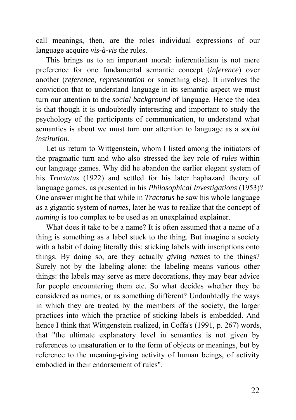call meanings, then, are the roles individual expressions of our language acquire *vis-à-vis* the rules.

 This brings us to an important moral: inferentialism is not mere preference for one fundamental semantic concept (*inference*) over another (*reference*, *representation* or something else). It involves the conviction that to understand language in its semantic aspect we must turn our attention to the *social background* of language. Hence the idea is that though it is undoubtedly interesting and important to study the psychology of the participants of communication, to understand what semantics is about we must turn our attention to language as a *social institution*.

 Let us return to Wittgenstein, whom I listed among the initiators of the pragmatic turn and who also stressed the key role of *rules* within our language games. Why did he abandon the earlier elegant system of his *Tractatus* (1922) and settled for his later haphazard theory of language games, as presented in his *Philosophical Investigations* (1953)? One answer might be that while in *Tractatus* he saw his whole language as a gigantic system of *names*, later he was to realize that the concept of *naming* is too complex to be used as an unexplained explainer.

 What does it take to be a name? It is often assumed that a name of a thing is something as a label stuck to the thing. But imagine a society with a habit of doing literally this: sticking labels with inscriptions onto things. By doing so, are they actually *giving names* to the things? Surely not by the labeling alone: the labeling means various other things: the labels may serve as mere decorations, they may bear advice for people encountering them etc. So what decides whether they be considered as names, or as something different? Undoubtedly the ways in which they are treated by the members of the society, the larger practices into which the practice of sticking labels is embedded. And hence I think that Wittgenstein realized, in Coffa's (1991, p. 267) words, that "the ultimate explanatory level in semantics is not given by references to unsaturation or to the form of objects or meanings, but by reference to the meaning-giving activity of human beings, of activity embodied in their endorsement of rules".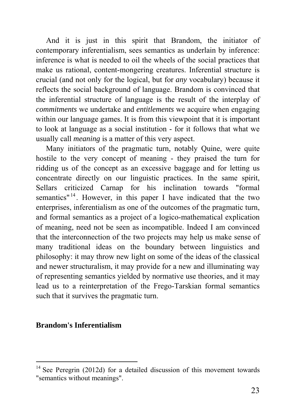And it is just in this spirit that Brandom, the initiator of contemporary inferentialism, sees semantics as underlain by inference: inference is what is needed to oil the wheels of the social practices that make us rational, content-mongering creatures. Inferential structure is crucial (and not only for the logical, but for *any* vocabulary) because it reflects the social background of language. Brandom is convinced that the inferential structure of language is the result of the interplay of *commitments* we undertake and *entitlements* we acquire when engaging within our language games. It is from this viewpoint that it is important to look at language as a social institution - for it follows that what we usually call *meaning* is a matter of this very aspect.

 Many initiators of the pragmatic turn, notably Quine, were quite hostile to the very concept of meaning - they praised the turn for ridding us of the concept as an excessive baggage and for letting us concentrate directly on our linguistic practices. In the same spirit, Sellars criticized Carnap for his inclination towards "formal semantics"<sup>14</sup>. However, in this paper I have indicated that the two enterprises, inferentialism as one of the outcomes of the pragmatic turn, and formal semantics as a project of a logico-mathematical explication of meaning, need not be seen as incompatible. Indeed I am convinced that the interconnection of the two projects may help us make sense of many traditional ideas on the boundary between linguistics and philosophy: it may throw new light on some of the ideas of the classical and newer structuralism, it may provide for a new and illuminating way of representing semantics yielded by normative use theories, and it may lead us to a reinterpretation of the Frego-Tarskian formal semantics such that it survives the pragmatic turn.

### **Brandom's Inferentialism**

 $14$  See Peregrin (2012d) for a detailed discussion of this movement towards "semantics without meanings".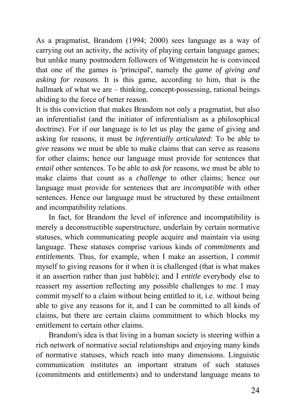As a pragmatist, Brandom (1994; 2000) sees language as a way of carrying out an activity, the activity of playing certain language games; but unlike many postmodern followers of Wittgenstein he is convinced that one of the games is 'principal', namely the *game of giving and asking for reasons*. It is this game, according to him, that is the hallmark of what we are – thinking, concept-possessing, rational beings abiding to the force of better reason.

It is this conviction that makes Brandom not only a pragmatist, but also an inferentialist (and the initiator of inferentialism as a philosophical doctrine). For if our language is to let us play the game of giving and asking for reasons, it must be *inferentially articulated*: To be able to *give* reasons we must be able to make claims that can serve as reasons for other claims; hence our language must provide for sentences that *entail* other sentences. To be able to *ask for* reasons, we must be able to make claims that count as a *challenge* to other claims; hence our language must provide for sentences that are *incompatible* with other sentences. Hence our language must be structured by these entailment and incompatibility relations.

 In fact, for Brandom the level of inference and incompatibility is merely a deconstructible superstructure, underlain by certain normative statuses, which communicating people acquire and maintain via using language. These statuses comprise various kinds of *commitments* and *entitlements*. Thus, for example, when I make an assertion, I *commit* myself to giving reasons for it when it is challenged (that is what makes it an assertion rather than just babble); and I *entitle* everybody else to reassert my assertion reflecting any possible challenges to me. I may commit myself to a claim without being entitled to it, i.e. without being able to give any reasons for it, and I can be committed to all kinds of claims, but there are certain claims commitment to which blocks my entitlement to certain other claims.

 Brandom's idea is that living in a human society is steering within a rich network of normative social relationships and enjoying many kinds of normative statuses, which reach into many dimensions. Linguistic communication institutes an important stratum of such statuses (commitments and entitlements) and to understand language means to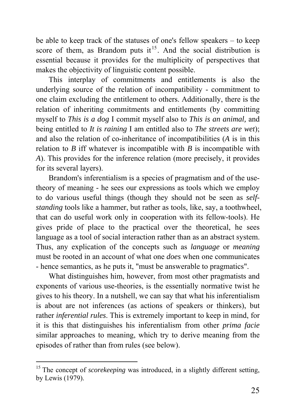be able to keep track of the statuses of one's fellow speakers – to keep score of them, as Brandom puts it<sup>15</sup>. And the social distribution is essential because it provides for the multiplicity of perspectives that makes the objectivity of linguistic content possible.

 This interplay of commitments and entitlements is also the underlying source of the relation of incompatibility - commitment to one claim excluding the entitlement to others. Additionally, there is the relation of inheriting commitments and entitlements (by committing myself to *This is a dog* I commit myself also to *This is an animal,* and being entitled to *It is raining* I am entitled also to *The streets are wet*); and also the relation of co-inheritance of incompatibilities (*A* is in this relation to *B* iff whatever is incompatible with *B* is incompatible with *A*). This provides for the inference relation (more precisely, it provides for its several layers).

 Brandom's inferentialism is a species of pragmatism and of the usetheory of meaning - he sees our expressions as tools which we employ to do various useful things (though they should not be seen as *selfstanding* tools like a hammer, but rather as tools, like, say, a toothwheel, that can do useful work only in cooperation with its fellow-tools). He gives pride of place to the practical over the theoretical, he sees language as a tool of social interaction rather than as an abstract system. Thus, any explication of the concepts such as *language* or *meaning* must be rooted in an account of what one *does* when one communicates - hence semantics, as he puts it, "must be answerable to pragmatics".

 What distinguishes him, however, from most other pragmatists and exponents of various use-theories, is the essentially normative twist he gives to his theory. In a nutshell, we can say that what his inferentialism is about are not inferences (as actions of speakers or thinkers), but rather *inferential rules*. This is extremely important to keep in mind, for it is this that distinguishes his inferentialism from other *prima facie* similar approaches to meaning, which try to derive meaning from the episodes of rather than from rules (see below).

<sup>&</sup>lt;sup>15</sup> The concept of *scorekeeping* was introduced, in a slightly different setting, by Lewis (1979).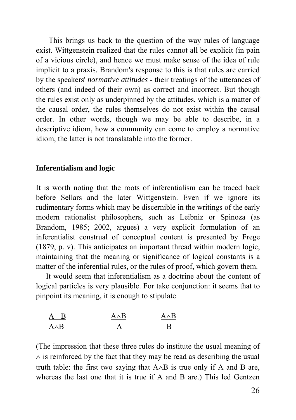This brings us back to the question of the way rules of language exist. Wittgenstein realized that the rules cannot all be explicit (in pain of a vicious circle), and hence we must make sense of the idea of rule implicit to a praxis. Brandom's response to this is that rules are carried by the speakers' *normative attitudes* - their treatings of the utterances of others (and indeed of their own) as correct and incorrect. But though the rules exist only as underpinned by the attitudes, which is a matter of the causal order, the rules themselves do not exist within the causal order. In other words, though we may be able to describe, in a descriptive idiom, how a community can come to employ a normative idiom, the latter is not translatable into the former.

#### **Inferentialism and logic**

It is worth noting that the roots of inferentialism can be traced back before Sellars and the later Wittgenstein. Even if we ignore its rudimentary forms which may be discernible in the writings of the early modern rationalist philosophers, such as Leibniz or Spinoza (as Brandom, 1985; 2002, argues) a very explicit formulation of an inferentialist construal of conceptual content is presented by Frege (1879, p. v). This anticipates an important thread within modern logic, maintaining that the meaning or significance of logical constants is a matter of the inferential rules, or the rules of proof, which govern them.

 It would seem that inferentialism as a doctrine about the content of logical particles is very plausible. For take conjunction: it seems that to pinpoint its meaning, it is enough to stipulate

$$
\begin{array}{ccc}\nA & B \\
A \wedge B \\
A\n\end{array}\n\qquad\n\begin{array}{ccc}\nA \wedge B \\
A \\
B\n\end{array}\n\qquad\n\begin{array}{ccc}\nA \wedge B \\
B\n\end{array}
$$

(The impression that these three rules do institute the usual meaning of  $\land$  is reinforced by the fact that they may be read as describing the usual truth table: the first two saying that  $A \wedge B$  is true only if A and B are, whereas the last one that it is true if A and B are.) This led Gentzen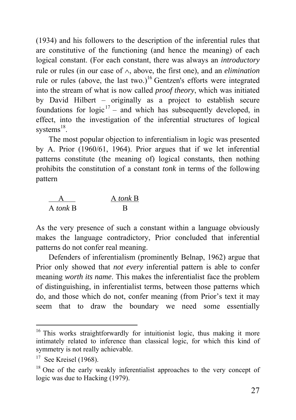(1934) and his followers to the description of the inferential rules that are constitutive of the functioning (and hence the meaning) of each logical constant. (For each constant, there was always an *introductory* rule or rules (in our case of  $\wedge$ , above, the first one), and an *elimination* rule or rules (above, the last two.)<sup>16</sup> Gentzen's efforts were integrated into the stream of what is now called *proof theory*, which was initiated by David Hilbert – originally as a project to establish secure foundations for logic<sup>17</sup> – and which has subsequently developed, in effect, into the investigation of the inferential structures of logical systems<sup>18</sup>.

 The most popular objection to inferentialism in logic was presented by A. Prior (1960/61, 1964). Prior argues that if we let inferential patterns constitute (the meaning of) logical constants, then nothing prohibits the constitution of a constant *tonk* in terms of the following pattern

$$
\frac{A}{A \text{ tonk } B}
$$

As the very presence of such a constant within a language obviously makes the language contradictory, Prior concluded that inferential patterns do not confer real meaning.

 Defenders of inferentialism (prominently Belnap, 1962) argue that Prior only showed that *not every* inferential pattern is able to confer meaning *worth its name*. This makes the inferentialist face the problem of distinguishing, in inferentialist terms, between those patterns which do, and those which do not, confer meaning (from Prior's text it may seem that to draw the boundary we need some essentially

<sup>&</sup>lt;sup>16</sup> This works straightforwardly for intuitionist logic, thus making it more intimately related to inference than classical logic, for which this kind of symmetry is not really achievable.

 $17$  See Kreisel (1968).

<sup>&</sup>lt;sup>18</sup> One of the early weakly inferentialist approaches to the very concept of logic was due to Hacking (1979).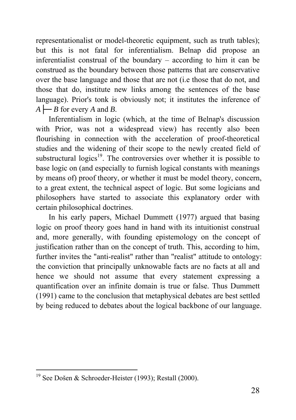representationalist or model-theoretic equipment, such as truth tables); but this is not fatal for inferentialism. Belnap did propose an inferentialist construal of the boundary – according to him it can be construed as the boundary between those patterns that are conservative over the base language and those that are not (i.e those that do not, and those that do, institute new links among the sentences of the base language). Prior's tonk is obviously not; it institutes the inference of  $A \rightarrow B$  for every *A* and *B*.

 Inferentialism in logic (which, at the time of Belnap's discussion with Prior, was not a widespread view) has recently also been flourishing in connection with the acceleration of proof-theoretical studies and the widening of their scope to the newly created field of substructural logics $19$ . The controversies over whether it is possible to base logic on (and especially to furnish logical constants with meanings by means of) proof theory, or whether it must be model theory, concern, to a great extent, the technical aspect of logic. But some logicians and philosophers have started to associate this explanatory order with certain philosophical doctrines.

 In his early papers, Michael Dummett (1977) argued that basing logic on proof theory goes hand in hand with its intuitionist construal and, more generally, with founding epistemology on the concept of justification rather than on the concept of truth. This, according to him, further invites the "anti-realist" rather than "realist" attitude to ontology: the conviction that principally unknowable facts are no facts at all and hence we should not assume that every statement expressing a quantification over an infinite domain is true or false. Thus Dummett (1991) came to the conclusion that metaphysical debates are best settled by being reduced to debates about the logical backbone of our language.

<sup>&</sup>lt;sup>19</sup> See Došen & Schroeder-Heister (1993); Restall (2000).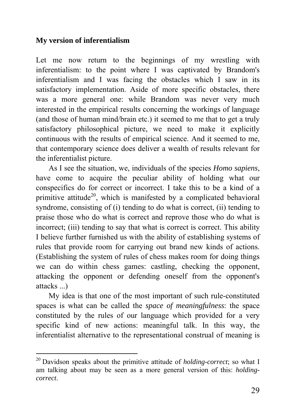# **My version of inferentialism**

 $\overline{a}$ 

Let me now return to the beginnings of my wrestling with inferentialism: to the point where I was captivated by Brandom's inferentialism and I was facing the obstacles which I saw in its satisfactory implementation. Aside of more specific obstacles, there was a more general one: while Brandom was never very much interested in the empirical results concerning the workings of language (and those of human mind/brain etc.) it seemed to me that to get a truly satisfactory philosophical picture, we need to make it explicitly continuous with the results of empirical science. And it seemed to me, that contemporary science does deliver a wealth of results relevant for the inferentialist picture.

 As I see the situation, we, individuals of the species *Homo sapiens*, have come to acquire the peculiar ability of holding what our conspecifics do for correct or incorrect. I take this to be a kind of a primitive attitude<sup>20</sup>, which is manifested by a complicated behavioral syndrome, consisting of (i) tending to do what is correct, (ii) tending to praise those who do what is correct and reprove those who do what is incorrect; (iii) tending to say that what is correct is correct. This ability I believe further furnished us with the ability of establishing systems of rules that provide room for carrying out brand new kinds of actions. (Establishing the system of rules of chess makes room for doing things we can do within chess games: castling, checking the opponent, attacking the opponent or defending oneself from the opponent's attacks ...)

 My idea is that one of the most important of such rule-constituted spaces is what can be called the *space of meaningfulness*: the space constituted by the rules of our language which provided for a very specific kind of new actions: meaningful talk. In this way, the inferentialist alternative to the representational construal of meaning is

<sup>20</sup> Davidson speaks about the primitive attitude of *holding-correct*; so what I am talking about may be seen as a more general version of this: *holdingcorrect*.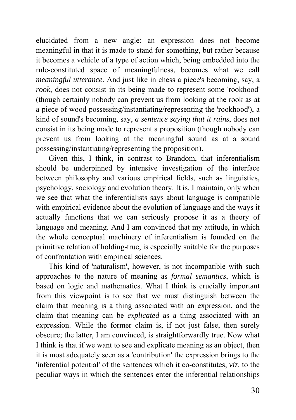elucidated from a new angle: an expression does not become meaningful in that it is made to stand for something, but rather because it becomes a vehicle of a type of action which, being embedded into the rule-constituted space of meaningfulness, becomes what we call *meaningful utterance*. And just like in chess a piece's becoming, say, a *rook*, does not consist in its being made to represent some 'rookhood' (though certainly nobody can prevent us from looking at the rook as at a piece of wood possessing/instantiating/representing the 'rookhood'), a kind of sound's becoming, say, *a sentence saying that it rains*, does not consist in its being made to represent a proposition (though nobody can prevent us from looking at the meaningful sound as at a sound possessing/instantiating/representing the proposition).

 Given this, I think, in contrast to Brandom, that inferentialism should be underpinned by intensive investigation of the interface between philosophy and various empirical fields, such as linguistics, psychology, sociology and evolution theory. It is, I maintain, only when we see that what the inferentialists says about language is compatible with empirical evidence about the evolution of language and the ways it actually functions that we can seriously propose it as a theory of language and meaning. And I am convinced that my attitude, in which the whole conceptual machinery of inferentialism is founded on the primitive relation of holding-true, is especially suitable for the purposes of confrontation with empirical sciences.

 This kind of 'naturalism', however, is not incompatible with such approaches to the nature of meaning as *formal semantics*, which is based on logic and mathematics. What I think is crucially important from this viewpoint is to see that we must distinguish between the claim that meaning is a thing associated with an expression, and the claim that meaning can be *explicated* as a thing associated with an expression. While the former claim is, if not just false, then surely obscure; the latter, I am convinced, is straightforwardly true. Now what I think is that if we want to see and explicate meaning as an object, then it is most adequately seen as a 'contribution' the expression brings to the 'inferential potential' of the sentences which it co-constitutes, *viz*. to the peculiar ways in which the sentences enter the inferential relationships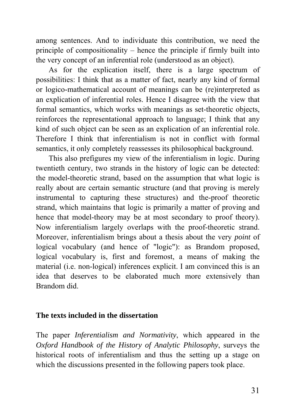among sentences. And to individuate this contribution, we need the principle of compositionality – hence the principle if firmly built into the very concept of an inferential role (understood as an object).

 As for the explication itself, there is a large spectrum of possibilities: I think that as a matter of fact, nearly any kind of formal or logico-mathematical account of meanings can be (re)interpreted as an explication of inferential roles. Hence I disagree with the view that formal semantics, which works with meanings as set-theoretic objects, reinforces the representational approach to language; I think that any kind of such object can be seen as an explication of an inferential role. Therefore I think that inferentialism is not in conflict with formal semantics, it only completely reassesses its philosophical background.

 This also prefigures my view of the inferentialism in logic. During twentieth century, two strands in the history of logic can be detected: the model-theoretic strand, based on the assumption that what logic is really about are certain semantic structure (and that proving is merely instrumental to capturing these structures) and the-proof theoretic strand, which maintains that logic is primarily a matter of proving and hence that model-theory may be at most secondary to proof theory). Now inferentialism largely overlaps with the proof-theoretic strand. Moreover, inferentialism brings about a thesis about the very *point* of logical vocabulary (and hence of "logic"): as Brandom proposed, logical vocabulary is, first and foremost, a means of making the material (i.e. non-logical) inferences explicit. I am convinced this is an idea that deserves to be elaborated much more extensively than Brandom did.

### **The texts included in the dissertation**

The paper *Inferentialism and Normativity*, which appeared in the *Oxford Handbook of the History of Analytic Philosophy*, surveys the historical roots of inferentialism and thus the setting up a stage on which the discussions presented in the following papers took place.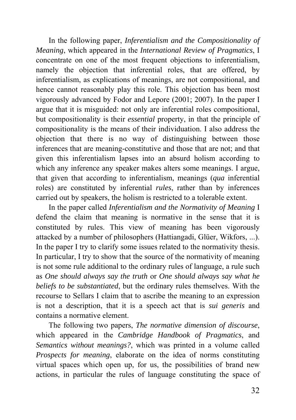In the following paper, *Inferentialism and the Compositionality of Meaning*, which appeared in the *International Review of Pragmatics*, I concentrate on one of the most frequent objections to inferentialism, namely the objection that inferential roles, that are offered, by inferentialism, as explications of meanings, are not compositional, and hence cannot reasonably play this role. This objection has been most vigorously advanced by Fodor and Lepore (2001; 2007). In the paper I argue that it is misguided: not only are inferential roles compositional, but compositionality is their *essential* property, in that the principle of compositionality is the means of their individuation. I also address the objection that there is no way of distinguishing between those inferences that are meaning-constitutive and those that are not; and that given this inferentialism lapses into an absurd holism according to which any inference any speaker makes alters some meanings. I argue, that given that according to inferentialism, meanings (*qua* inferential roles) are constituted by inferential *rules*, rather than by inferences carried out by speakers, the holism is restricted to a tolerable extent.

 In the paper called *Inferentialism and the Normativity of Meaning* I defend the claim that meaning is normative in the sense that it is constituted by rules. This view of meaning has been vigorously attacked by a number of philosophers (Hattiangadi, Glüer, Wikfors, ...). In the paper I try to clarify some issues related to the normativity thesis. In particular, I try to show that the source of the normativity of meaning is not some rule additional to the ordinary rules of language, a rule such as *One should always say the truth* or *One should always say what he beliefs to be substantiated*, but the ordinary rules themselves. With the recourse to Sellars I claim that to ascribe the meaning to an expression is not a description, that it is a speech act that is *sui generis* and contains a normative element.

 The following two papers, *The normative dimension of discourse*, which appeared in the *Cambridge Handbook of Pragmatics*, and *Semantics without meanings?*, which was printed in a volume called *Prospects for meaning*, elaborate on the idea of norms constituting virtual spaces which open up, for us, the possibilities of brand new actions, in particular the rules of language constituting the space of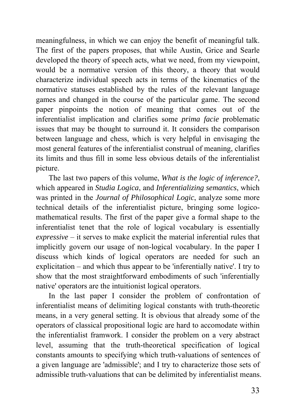meaningfulness, in which we can enjoy the benefit of meaningful talk. The first of the papers proposes, that while Austin, Grice and Searle developed the theory of speech acts, what we need, from my viewpoint, would be a normative version of this theory, a theory that would characterize individual speech acts in terms of the kinematics of the normative statuses established by the rules of the relevant language games and changed in the course of the particular game. The second paper pinpoints the notion of meaning that comes out of the inferentialist implication and clarifies some *prima facie* problematic issues that may be thought to surround it. It considers the comparison between language and chess, which is very helpful in envisaging the most general features of the inferentialist construal of meaning, clarifies its limits and thus fill in some less obvious details of the inferentialist picture.

 The last two papers of this volume, *What is the logic of inference?*, which appeared in *Studia Logica*, and *Inferentializing semantics*, which was printed in the *Journal of Philosophical Logic*, analyze some more technical details of the inferentialist picture, bringing some logicomathematical results. The first of the paper give a formal shape to the inferentialist tenet that the role of logical vocabulary is essentially *expressive* – it serves to make explicit the material inferential rules that implicitly govern our usage of non-logical vocabulary. In the paper I discuss which kinds of logical operators are needed for such an explicitation – and which thus appear to be 'inferentially native'. I try to show that the most straightforward embodiments of such 'inferentially native' operators are the intuitionist logical operators.

 In the last paper I consider the problem of confrontation of inferentialist means of delimiting logical constants with truth-theoretic means, in a very general setting. It is obvious that already some of the operators of classical propositional logic are hard to accomodate within the inferentialist framwork. I consider the problem on a very abstract level, assuming that the truth-theoretical specification of logical constants amounts to specifying which truth-valuations of sentences of a given language are 'admissible'; and I try to characterize those sets of admissible truth-valuations that can be delimited by inferentialist means.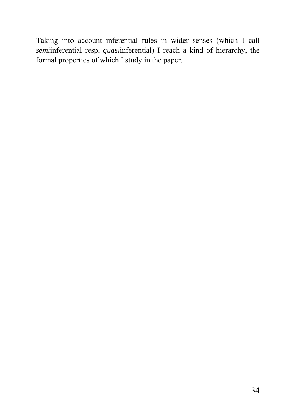Taking into account inferential rules in wider senses (which I call *semi*inferential resp. *quasi*inferential) I reach a kind of hierarchy, the formal properties of which I study in the paper.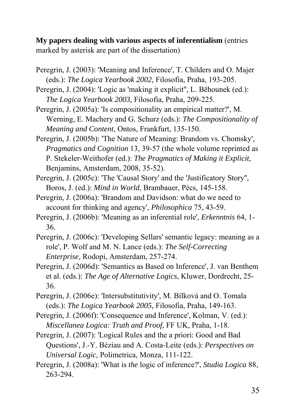**My papers dealing with various aspects of inferentialism** (entries marked by asterisk are part of the dissertation)

- Peregrin, J. (2003): 'Meaning and Inference', T. Childers and O. Majer (eds.): *The Logica Yearbook 2002,* Filosofia, Praha, 193-205.
- Peregrin, J. (2004): 'Logic as 'making it explicit'', L. Běhounek (ed.): *The Logica Yearbook 2003,* Filosofia, Praha, 209-225.

Peregrin, J. (2005a): 'Is compositionality an empirical matter?', M. Werning, E. Machery and G. Schurz (eds.): *The Compositionality of Meaning and Content*, Ontos, Frankfurt, 135-150.

- Peregrin, J. (2005b): 'The Nature of Meaning: Brandom vs. Chomsky', *Pragmatics and Cognition* 13, 39-57 (the whole volume reprinted as P. Stekeler-Weithofer (ed.): *The Pragmatics of Making it Explicit*, Benjamins, Amsterdam, 2008, 35-52).
- Peregrin, J. (2005c): 'The 'Causal Story' and the 'Justificatory Story'', Boros, J. (ed.): *Mind in World*, Brambauer, Pécs, 145-158.
- Peregrin, J. (2006a): 'Brandom and Davidson: what do we need to account for thinking and agency', *Philosophica* 75, 43-59.
- Peregrin, J. (2006b): 'Meaning as an inferential role', *Erkenntnis* 64, 1- 36.
- Peregrin, J. (2006c): 'Developing Sellars' semantic legacy: meaning as a role', P. Wolf and M. N. Lance (eds.): *The Self-Correcting Enterprise*, Rodopi, Amsterdam, 257-274.
- Peregrin, J. (2006d): 'Semantics as Based on Inference', J. van Benthem et al. (eds.): *The Age of Alternative Logics*, Kluwer, Dordrecht, 25- 36.
- Peregrin, J. (2006e): 'Intersubstitutivity', M. Bílková and O. Tomala (eds.): *The Logica Yearbook 2005,* Filosofia, Praha, 149-163.
- Peregrin, J. (2006f): 'Consequence and Inference', Kolman, V. (ed.): *Miscellanea Logica: Truth and Proof*, FF UK, Praha, 1-18.
- Peregrin, J. (2007): 'Logical Rules and the a priori: Good and Bad Questions', J.-Y. Béziau and A. Costa-Leite (eds.): *Perspectives on Universal Logic*, Polimetrica, Monza, 111-122.
- Peregrin, J. (2008a): 'What is *the* logic of inference?', *Studia Logica* 88, 263-294.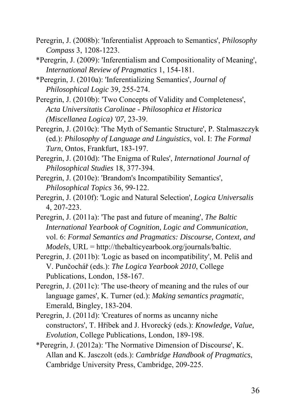- Peregrin, J. (2008b): 'Inferentialist Approach to Semantics', *Philosophy Compass* 3, 1208-1223.
- \*Peregrin, J. (2009): 'Inferentialism and Compositionality of Meaning', *International Review of Pragmatics* 1, 154-181.
- \*Peregrin, J. (2010a): 'Inferentializing Semantics', *Journal of Philosophical Logic* 39, 255-274.
- Peregrin, J. (2010b): 'Two Concepts of Validity and Completeness', *Acta Universitatis Carolinae - Philosophica et Historica (Miscellanea Logica) '07*, 23-39.
- Peregrin, J. (2010c): 'The Myth of Semantic Structure', P. Stalmaszczyk (ed.): *Philosophy of Language and Linguistics*, vol. I: *The Formal Turn*, Ontos, Frankfurt, 183-197.
- Peregrin, J. (2010d): 'The Enigma of Rules', *International Journal of Philosophical Studies* 18, 377-394.
- Peregrin, J. (2010e): 'Brandom's Incompatibility Semantics', *Philosophical Topics* 36, 99-122.
- Peregrin, J. (2010f): 'Logic and Natural Selection', *Logica Universalis* 4, 207-223.
- Peregrin, J. (2011a): 'The past and future of meaning', *The Baltic International Yearbook of Cognition, Logic and Communication*, vol. 6: *Formal Semantics and Pragmatics: Discourse, Context, and Models*, URL = http://thebalticyearbook.org/journals/baltic.
- Peregrin, J. (2011b): 'Logic as based on incompatibility', M. Peliš and V. Punčochář (eds.): *The Logica Yearbook 2010*, College Publications, London, 158-167.
- Peregrin, J. (2011c): 'The use-theory of meaning and the rules of our language games', K. Turner (ed.): *Making semantics pragmatic*, Emerald, Bingley, 183-204.
- Peregrin, J. (2011d): 'Creatures of norms as uncanny niche constructors', T. Hříbek and J. Hvorecký (eds.): *Knowledge, Value, Evolution*, College Publications, London, 189-198.
- \*Peregrin, J. (2012a): 'The Normative Dimension of Discourse', K. Allan and K. Jasczolt (eds.): *Cambridge Handbook of Pragmatics*, Cambridge University Press, Cambridge, 209-225.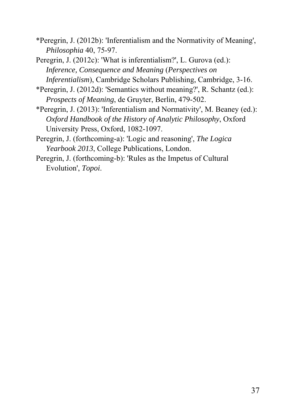\*Peregrin, J. (2012b): 'Inferentialism and the Normativity of Meaning', *Philosophia* 40, 75-97.

Peregrin, J. (2012c): 'What is inferentialism?', L. Gurova (ed.): *Inference, Consequence and Meaning* (*Perspectives on Inferentialism*), Cambridge Scholars Publishing, Cambridge, 3-16.

- \*Peregrin, J. (2012d): 'Semantics without meaning?', R. Schantz (ed.): *Prospects of Meaning*, de Gruyter, Berlin, 479-502.
- \*Peregrin, J. (2013): 'Inferentialism and Normativity', M. Beaney (ed.): *Oxford Handbook of the History of Analytic Philosophy*, Oxford University Press, Oxford, 1082-1097.
- Peregrin, J. (forthcoming-a): 'Logic and reasoning', *The Logica Yearbook 2013*, College Publications, London.
- Peregrin, J. (forthcoming-b): 'Rules as the Impetus of Cultural Evolution', *Topoi*.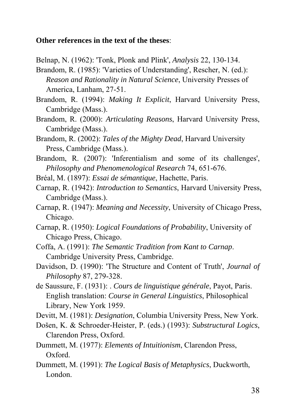#### **Other references in the text of the theses**:

Belnap, N. (1962): 'Tonk, Plonk and Plink', *Analysis* 22, 130-134.

Brandom, R. (1985): 'Varieties of Understanding', Rescher, N. (ed.): *Reason and Rationality in Natural Science*, University Presses of America, Lanham, 27-51.

Brandom, R. (1994): *Making It Explicit*, Harvard University Press, Cambridge (Mass.).

Brandom, R. (2000): *Articulating Reasons*, Harvard University Press, Cambridge (Mass.).

Brandom, R. (2002): *Tales of the Mighty Dead*, Harvard University Press, Cambridge (Mass.).

Brandom, R. (2007): 'Inferentialism and some of its challenges', *Philosophy and Phenomenological Research* 74, 651-676.

Bréal, M. (1897): *Essai de sémantique*, Hachette, Paris.

Carnap, R. (1942): *Introduction to Semantics*, Harvard University Press, Cambridge (Mass.).

Carnap, R. (1947): *Meaning and Necessity*, University of Chicago Press, Chicago.

Carnap, R. (1950): *Logical Foundations of Probability*, University of Chicago Press, Chicago.

Coffa, A. (1991): *The Semantic Tradition from Kant to Carnap*. Cambridge University Press, Cambridge.

Davidson, D. (1990): 'The Structure and Content of Truth', *Journal of Philosophy* 87, 279-328.

de Saussure, F. (1931): . *Cours de linguistique générale*, Payot, Paris. English translation: *Course in General Linguistics*, Philosophical Library, New York 1959.

Devitt, M. (1981): *Designation*, Columbia University Press, New York.

Došen, K. & Schroeder-Heister, P. (eds.) (1993): *Substructural Logics*, Clarendon Press, Oxford.

Dummett, M. (1977): *Elements of Intuitionism*, Clarendon Press, Oxford.

Dummett, M. (1991): *The Logical Basis of Metaphysics*, Duckworth, London.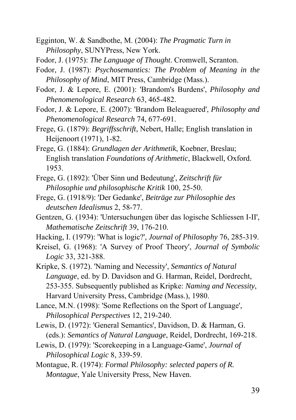Egginton, W. & Sandbothe, M. (2004): *The Pragmatic Turn in Philosophy*, SUNYPress, New York.

- Fodor, J. (1975): *The Language of Thought*. Cromwell, Scranton.
- Fodor, J. (1987): *Psychosemantics: The Problem of Meaning in the Philosophy of Mind*, MIT Press, Cambridge (Mass.).
- Fodor, J. & Lepore, E. (2001): 'Brandom's Burdens', *Philosophy and Phenomenological Research* 63, 465-482.
- Fodor, J. & Lepore, E. (2007): 'Brandom Beleaguered', *Philosophy and Phenomenological Research* 74, 677-691.
- Frege, G. (1879): *Begriffsschrift*, Nebert, Halle; English translation in Heijenoort (1971), 1-82.
- Frege, G. (1884): *Grundlagen der Arithmetik*, Koebner, Breslau; English translation *Foundations of Arithmetic*, Blackwell, Oxford. 1953.
- Frege, G. (1892): 'Über Sinn und Bedeutung', *Zeitschrift für Philosophie und philosophische Kritik* 100, 25-50.
- Frege, G. (1918/9): 'Der Gedanke', *Beiträge zur Philosophie des deutschen Idealismus* 2, 58-77.
- Gentzen, G. (1934): 'Untersuchungen über das logische Schliessen I-II', *Mathematische Zeitschrift* 39, 176-210.
- Hacking, I. (1979): 'What is logic?', *Journal of Philosophy* 76, 285-319.
- Kreisel, G. (1968): 'A Survey of Proof Theory', *Journal of Symbolic Logic* 33, 321-388.
- Kripke, S. (1972). 'Naming and Necessity', *Semantics of Natural Language*, ed. by D. Davidson and G. Harman, Reidel, Dordrecht, 253-355. Subsequently published as Kripke: *Naming and Necessity*, Harvard University Press, Cambridge (Mass.), 1980.
- Lance, M.N. (1998): 'Some Reflections on the Sport of Language', *Philosophical Perspectives* 12, 219-240.
- Lewis, D. (1972): 'General Semantics', Davidson, D. & Harman, G. (eds.): *Semantics of Natural Language*, Reidel, Dordrecht, 169-218.
- Lewis, D. (1979): 'Scorekeeping in a Language-Game', *Journal of Philosophical Logic* 8, 339-59.
- Montague, R. (1974): *Formal Philosophy: selected papers of R. Montague*, Yale University Press, New Haven.